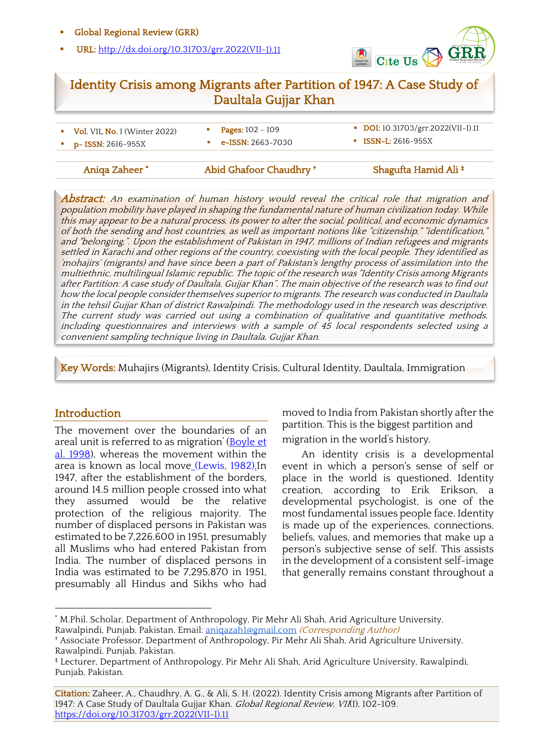#### § Global Regional Review (GRR)

§ URL: http://dx.doi.org/10.31703/grr.2022(VII-I).11



# Identity Crisis among Migrants after Partition of 1947: A Case Study of Daultala Gujjar Khan

| <b>Vol. VII, No. I</b> (Winter 2022)             | <b>Pages:</b> $102 - 109$ |
|--------------------------------------------------|---------------------------|
| $\blacksquare$ $\blacksquare$ D- ISSN: 2616-955X | <b>e-ISSN:</b> 2663-7030  |

- 
- § Vol. VII, No. I (Winter 2022) § Pages: <sup>102</sup> ‒ <sup>109</sup> § DOI: 10.31703/grr.2022(VII-I).11

- Aniqa Zaheer
- 
- Abid Ghafoor Chaudhry † Shagufta Hamid Ali ‡

Abstract: An examination of human history would reveal the critical role that migration and population mobility have played in shaping the fundamental nature of human civilization today. While this may appear to be a natural process, its power to alter the social, political, and economic dynamics of both the sending and host countries, as well as important notions like "citizenship," "identification," and "belonging,". Upon the establishment of Pakistan in 1947, millions of Indian refugees and migrants settled in Karachi and other regions of the country, coexisting with the local people. They identified as 'mohajirs' (migrants) and have since been a part of Pakistan's lengthy process of assimilation into the multiethnic, multilingual Islamic republic. The topic of the research was "Identity Crisis among Migrants after Partition: A case study of Daultala, Gujjar Khan". The main objective of the research was to find out how the local people consider themselves superior to migrants. The research was conducted in Daultala in the tehsil Gujjar Khan of district Rawalpindi. The methodology used in the research was descriptive. The current study was carried out using a combination of qualitative and quantitative methods, including questionnaires and interviews with a sample of 45 local respondents selected using a convenient sampling technique living in Daultala, Gujjar Khan.

 $\overline{a}$ 

Key Words: Muhajirs (Migrants), Identity Crisis, Cultural Identity, Daultala, Immigration

I

Ï

### **Introduction**

The movement over the boundaries of an areal unit is referred to as migration' (Boyle et al. 1998), whereas the movement within the area is known as local move (Lewis, 1982).In 1947, after the establishment of the borders, around 14.5 million people crossed into what they assumed would be the relative protection of the religious majority. The number of displaced persons in Pakistan was estimated to be 7,226,600 in 1951, presumably all Muslims who had entered Pakistan from India. The number of displaced persons in India was estimated to be 7,295,870 in 1951, presumably all Hindus and Sikhs who had moved to India from Pakistan shortly after the partition. This is the biggest partition and migration in the world's history.

An identity crisis is a developmental event in which a person's sense of self or place in the world is questioned. Identity creation, according to Erik Erikson, a developmental psychologist, is one of the most fundamental issues people face. Identity is made up of the experiences, connections, beliefs, values, and memories that make up a person's subjective sense of self. This assists in the development of a consistent self-image that generally remains constant throughout a

Citation: Zaheer, A., Chaudhry, A. G., & Ali, S. H. (2022). Identity Crisis among Migrants after Partition of 1947: A Case Study of Daultala Gujjar Khan. Global Regional Review, VII(I), 102-109. https://doi.org/10.31703/grr.2022(VII-I).11

<sup>\*</sup> M.Phil. Scholar, Department of Anthropology, Pir Mehr Ali Shah, Arid Agriculture University, Rawalpindi, Punjab, Pakistan. Email: aniqazah1@gmail.com (Corresponding Author)

<sup>†</sup> Associate Professor, Department of Anthropology, Pir Mehr Ali Shah, Arid Agriculture University, Rawalpindi, Punjab, Pakistan.

<sup>‡</sup> Lecturer, Department of Anthropology, Pir Mehr Ali Shah, Arid Agriculture University, Rawalpindi, Punjab, Pakistan.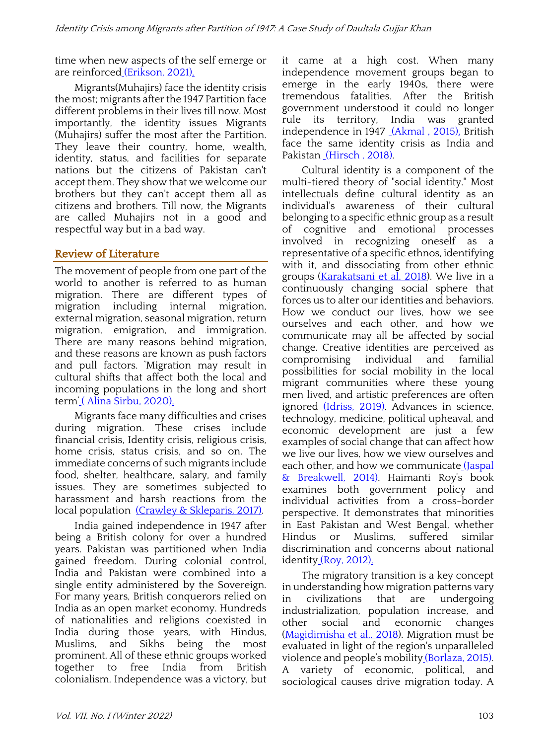time when new aspects of the self emerge or are reinforced (Erikson, 2021).

Migrants(Muhajirs) face the identity crisis the most; migrants after the 1947 Partition face different problems in their lives till now. Most importantly, the identity issues Migrants (Muhajirs) suffer the most after the Partition. They leave their country, home, wealth, identity, status, and facilities for separate nations but the citizens of Pakistan can't accept them. They show that we welcome our brothers but they can't accept them all as citizens and brothers. Till now, the Migrants are called Muhajirs not in a good and respectful way but in a bad way.

## Review of Literature

The movement of people from one part of the world to another is referred to as human migration. There are different types of migration including internal migration, external migration, seasonal migration, return migration, emigration, and immigration. There are many reasons behind migration, and these reasons are known as push factors and pull factors. 'Migration may result in cultural shifts that affect both the local and incoming populations in the long and short term' (Alina Sirbu, 2020).

Migrants face many difficulties and crises during migration. These crises include financial crisis, Identity crisis, religious crisis, home crisis, status crisis, and so on. The immediate concerns of such migrants include food, shelter, healthcare, salary, and family issues. They are sometimes subjected to harassment and harsh reactions from the local population (Crawley & Skleparis, 2017).

India gained independence in 1947 after being a British colony for over a hundred years. Pakistan was partitioned when India gained freedom. During colonial control, India and Pakistan were combined into a single entity administered by the Sovereign. For many years, British conquerors relied on India as an open market economy. Hundreds of nationalities and religions coexisted in India during those years, with Hindus, Muslims, and Sikhs being the most prominent. All of these ethnic groups worked together to free India from British colonialism. Independence was a victory, but it came at a high cost. When many independence movement groups began to emerge in the early 1940s, there were tremendous fatalities. After the British government understood it could no longer rule its territory, India was granted independence in 1947 (Akmal , 2015). British face the same identity crisis as India and Pakistan (Hirsch , 2018).

Cultural identity is a component of the multi-tiered theory of "social identity." Most intellectuals define cultural identity as an individual's awareness of their cultural belonging to a specific ethnic group as a result of cognitive and emotional processes involved in recognizing oneself as a representative of a specific ethnos, identifying with it, and dissociating from other ethnic groups (Karakatsani et al. 2018). We live in a continuously changing social sphere that forces us to alter our identities and behaviors. How we conduct our lives, how we see ourselves and each other, and how we communicate may all be affected by social change. Creative identities are perceived as compromising individual and familial possibilities for social mobility in the local migrant communities where these young men lived, and artistic preferences are often ignored (Idriss, 2019). Advances in science, technology, medicine, political upheaval, and economic development are just a few examples of social change that can affect how we live our lives, how we view ourselves and each other, and how we communicate (Jaspal & Breakwell, 2014). Haimanti Roy's book examines both government policy and individual activities from a cross-border perspective. It demonstrates that minorities in East Pakistan and West Bengal, whether Hindus or Muslims, suffered similar discrimination and concerns about national identity (Roy, 2012).

The migratory transition is a key concept in understanding how migration patterns vary in civilizations that are undergoing industrialization, population increase, and other social and economic changes (Magidimisha et al., 2018). Migration must be evaluated in light of the region's unparalleled violence and people's mobility (Borlaza, 2015). A variety of economic, political, and sociological causes drive migration today. A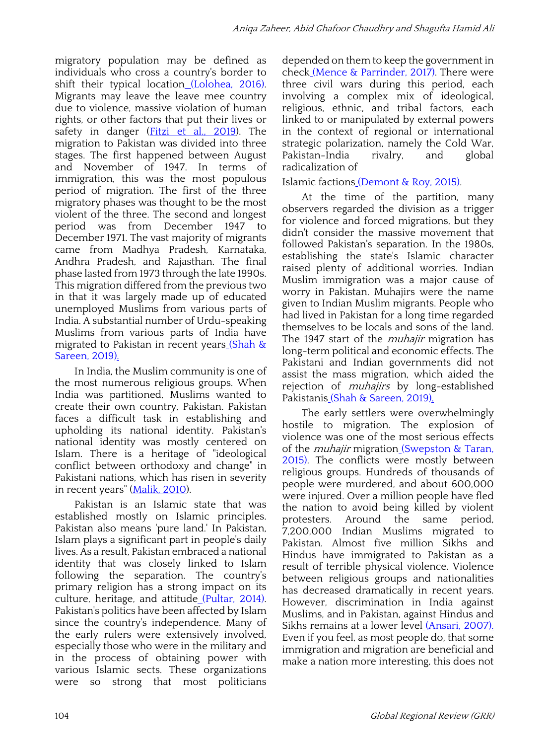migratory population may be defined as individuals who cross a country's border to shift their typical location (Lolohea, 2016). Migrants may leave the leave mee country due to violence, massive violation of human rights, or other factors that put their lives or safety in danger (Fitzi et al., 2019). The migration to Pakistan was divided into three stages. The first happened between August and November of 1947. In terms of immigration, this was the most populous period of migration. The first of the three migratory phases was thought to be the most violent of the three. The second and longest period was from December 1947 to December 1971. The vast majority of migrants came from Madhya Pradesh, Karnataka, Andhra Pradesh, and Rajasthan. The final phase lasted from 1973 through the late 1990s. This migration differed from the previous two in that it was largely made up of educated unemployed Muslims from various parts of India. A substantial number of Urdu-speaking Muslims from various parts of India have migrated to Pakistan in recent years (Shah & Sareen, 2019).

In India, the Muslim community is one of the most numerous religious groups. When India was partitioned, Muslims wanted to create their own country, Pakistan. Pakistan faces a difficult task in establishing and upholding its national identity. Pakistan's national identity was mostly centered on Islam. There is a heritage of "ideological conflict between orthodoxy and change" in Pakistani nations, which has risen in severity in recent years" (Malik, 2010).

Pakistan is an Islamic state that was established mostly on Islamic principles. Pakistan also means 'pure land.' In Pakistan, Islam plays a significant part in people's daily lives. As a result, Pakistan embraced a national identity that was closely linked to Islam following the separation. The country's primary religion has a strong impact on its culture, heritage, and attitude (Pultar, 2014). Pakistan's politics have been affected by Islam since the country's independence. Many of the early rulers were extensively involved, especially those who were in the military and in the process of obtaining power with various Islamic sects. These organizations were so strong that most politicians depended on them to keep the government in check (Mence & Parrinder, 2017). There were three civil wars during this period, each involving a complex mix of ideological, religious, ethnic, and tribal factors, each linked to or manipulated by external powers in the context of regional or international strategic polarization, namely the Cold War, Pakistan-India rivalry, and global radicalization of

### Islamic factions (Demont & Roy, 2015).

At the time of the partition, many observers regarded the division as a trigger for violence and forced migrations, but they didn't consider the massive movement that followed Pakistan's separation. In the 1980s, establishing the state's Islamic character raised plenty of additional worries. Indian Muslim immigration was a major cause of worry in Pakistan. Muhajirs were the name given to Indian Muslim migrants. People who had lived in Pakistan for a long time regarded themselves to be locals and sons of the land. The 1947 start of the *muhajir* migration has long-term political and economic effects. The Pakistani and Indian governments did not assist the mass migration, which aided the rejection of *muhajirs* by long-established Pakistanis (Shah & Sareen, 2019).

The early settlers were overwhelmingly hostile to migration. The explosion of violence was one of the most serious effects of the *muhajir* migration (Swepston & Taran, 2015). The conflicts were mostly between religious groups. Hundreds of thousands of people were murdered, and about 600,000 were injured. Over a million people have fled the nation to avoid being killed by violent protesters. Around the same period, 7,200,000 Indian Muslims migrated to Pakistan. Almost five million Sikhs and Hindus have immigrated to Pakistan as a result of terrible physical violence. Violence between religious groups and nationalities has decreased dramatically in recent years. However, discrimination in India against Muslims, and in Pakistan, against Hindus and Sikhs remains at a lower level (Ansari, 2007). Even if you feel, as most people do, that some immigration and migration are beneficial and make a nation more interesting, this does not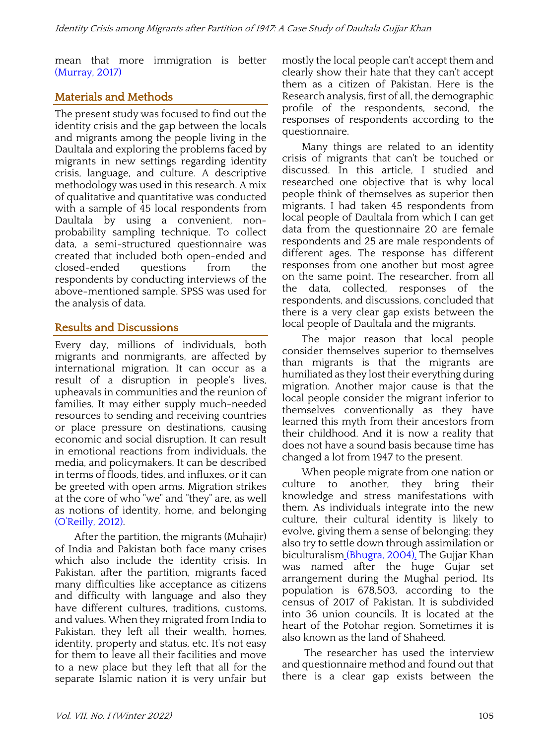mean that more immigration is better (Murray, 2017)

## Materials and Methods

The present study was focused to find out the identity crisis and the gap between the locals and migrants among the people living in the Daultala and exploring the problems faced by migrants in new settings regarding identity crisis, language, and culture. A descriptive methodology was used in this research. A mix of qualitative and quantitative was conducted with a sample of 45 local respondents from Daultala by using a convenient, nonprobability sampling technique. To collect data, a semi-structured questionnaire was created that included both open-ended and closed-ended questions from the respondents by conducting interviews of the above-mentioned sample. SPSS was used for the analysis of data.

## Results and Discussions

Every day, millions of individuals, both migrants and nonmigrants, are affected by international migration. It can occur as a result of a disruption in people's lives, upheavals in communities and the reunion of families. It may either supply much-needed resources to sending and receiving countries or place pressure on destinations, causing economic and social disruption. It can result in emotional reactions from individuals, the media, and policymakers. It can be described in terms of floods, tides, and influxes, or it can be greeted with open arms. Migration strikes at the core of who "we" and "they" are, as well as notions of identity, home, and belonging (O'Reilly, 2012).

After the partition, the migrants (Muhajir) of India and Pakistan both face many crises which also include the identity crisis. In Pakistan, after the partition, migrants faced many difficulties like acceptance as citizens and difficulty with language and also they have different cultures, traditions, customs, and values. When they migrated from India to Pakistan, they left all their wealth, homes, identity, property and status, etc. It's not easy for them to leave all their facilities and move to a new place but they left that all for the separate Islamic nation it is very unfair but mostly the local people can't accept them and clearly show their hate that they can't accept them as a citizen of Pakistan. Here is the Research analysis, first of all, the demographic profile of the respondents, second, the responses of respondents according to the questionnaire.

Many things are related to an identity crisis of migrants that can't be touched or discussed. In this article, I studied and researched one objective that is why local people think of themselves as superior then migrants. I had taken 45 respondents from local people of Daultala from which I can get data from the questionnaire 20 are female respondents and 25 are male respondents of different ages. The response has different responses from one another but most agree on the same point. The researcher, from all the data, collected, responses of the respondents, and discussions, concluded that there is a very clear gap exists between the local people of Daultala and the migrants.

The major reason that local people consider themselves superior to themselves than migrants is that the migrants are humiliated as they lost their everything during migration. Another major cause is that the local people consider the migrant inferior to themselves conventionally as they have learned this myth from their ancestors from their childhood. And it is now a reality that does not have a sound basis because time has changed a lot from 1947 to the present.

When people migrate from one nation or culture to another, they bring their knowledge and stress manifestations with them. As individuals integrate into the new culture, their cultural identity is likely to evolve, giving them a sense of belonging; they also try to settle down through assimilation or biculturalism (Bhugra, 2004). The Gujjar Khan was named after the huge Gujar set arrangement during the Mughal period. Its population is 678,503, according to the census of 2017 of Pakistan. It is subdivided into 36 union councils. It is located at the heart of the Potohar region. Sometimes it is also known as the land of Shaheed.

The researcher has used the interview and questionnaire method and found out that there is a clear gap exists between the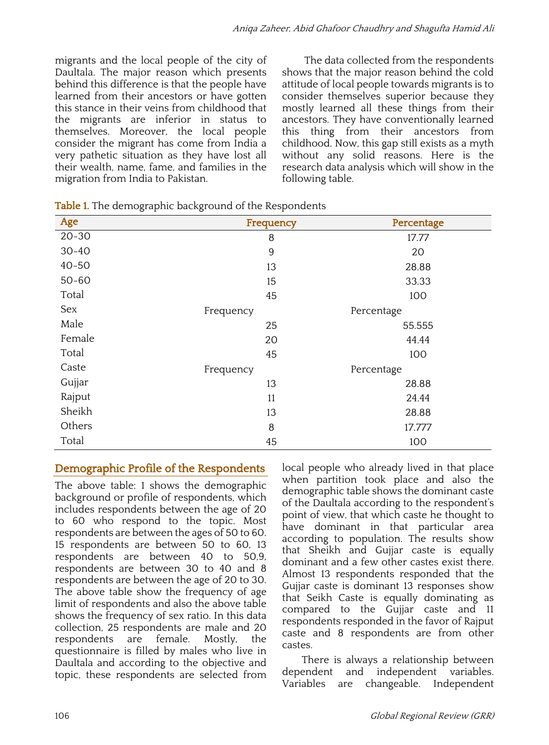migrants and the local people of the city of Daultala. The major reason which presents behind this difference is that the people have learned from their ancestors or have gotten this stance in their veins from childhood that the migrants are inferior in status to themselves. Moreover, the local people consider the migrant has come from India a very pathetic situation as they have lost all their wealth, name, fame, and families in the migration from India to Pakistan.

The data collected from the respondents shows that the major reason behind the cold attitude of local people towards migrants is to consider themselves superior because they mostly learned all these things from their ancestors. They have conventionally learned this thing from their ancestors from childhood. Now, this gap still exists as a myth without any solid reasons. Here is the research data analysis which will show in the following table.

| Age       | Frequency | Percentage |
|-----------|-----------|------------|
| $20 - 30$ | 8         | 17.77      |
| $30 - 40$ | 9         | 20         |
| $40 - 50$ | 13        | 28.88      |
| $50 - 60$ | 15        | 33.33      |
| Total     | 45        | 100        |
| Sex       | Frequency | Percentage |
| Male      | 25        | 55.555     |
| Female    | 20        | 44.44      |
| Total     | 45        | 100        |
| Caste     | Frequency | Percentage |
| Gujjar    | 13        | 28.88      |
| Rajput    | 11        | 24.44      |
| Sheikh    | 13        | 28.88      |
| Others    | 8         | 17.777     |
| Total     | 45        | 100        |

**Table 1.** The demographic background of the Respondents

## Demographic Profile of the Respondents

The above table: 1 shows the demographic background or profile of respondents, which includes respondents between the age of 20 to 60 who respond to the topic. Most respondents are between the ages of 50 to 60. 15 respondents are between 50 to 60, 13 respondents are between 40 to 50,9, respondents are between 30 to 40 and 8 respondents are between the age of 20 to 30. The above table show the frequency of age limit of respondents and also the above table shows the frequency of sex ratio. In this data collection, 25 respondents are male and 20 respondents are female. Mostly, the questionnaire is filled by males who live in Daultala and according to the objective and topic, these respondents are selected from local people who already lived in that place when partition took place and also the demographic table shows the dominant caste of the Daultala according to the respondent's point of view, that which caste he thought to have dominant in that particular area according to population. The results show that Sheikh and Gujjar caste is equally dominant and a few other castes exist there. Almost 13 respondents responded that the Gujjar caste is dominant 13 responses show that Seikh Caste is equally dominating as compared to the Gujjar caste and 11 respondents responded in the favor of Rajput caste and 8 respondents are from other castes.

There is always a relationship between dependent and independent variables. Variables are changeable. Independent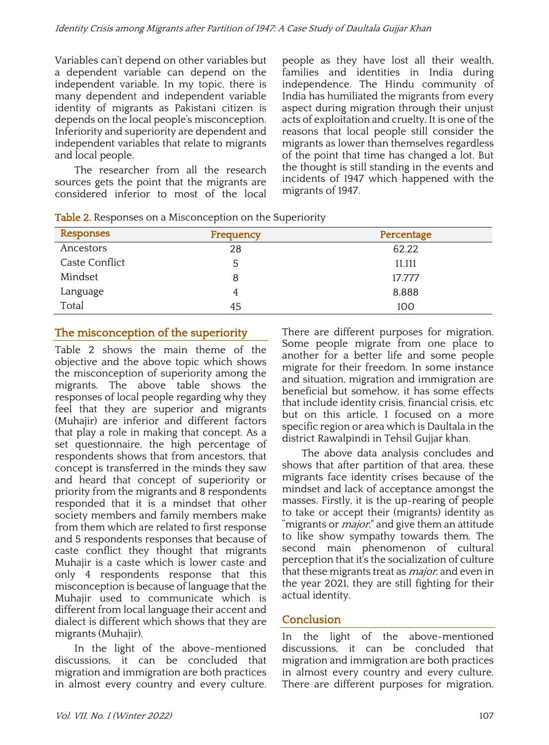Variables can't depend on other variables but a dependent variable can depend on the independent variable. In my topic, there is many dependent and independent variable identity of migrants as Pakistani citizen is depends on the local people's misconception. Inferiority and superiority are dependent and independent variables that relate to migrants and local people.

The researcher from all the research sources gets the point that the migrants are considered inferior to most of the local

people as they have lost all their wealth, families and identities in India during independence. The Hindu community of India has humiliated the migrants from every aspect during migration through their unjust acts of exploitation and cruelty. It is one of the reasons that local people still consider the migrants as lower than themselves regardless of the point that time has changed a lot. But the thought is still standing in the events and incidents of 1947 which happened with the migrants of 1947.

| Responses      | Frequency | Percentage |
|----------------|-----------|------------|
| Ancestors      | 28        | 62.22      |
| Caste Conflict | 5         | 11.111     |
| Mindset        | 8         | 17.777     |
| Language       | 4         | 8.888      |
| Total          | 45        | 100        |

Table 2. Responses on a Misconception on the Superiority

## The misconception of the superiority

Table 2 shows the main theme of the objective and the above topic which shows the misconception of superiority among the migrants. The above table shows the responses of local people regarding why they feel that they are superior and migrants (Muhajir) are inferior and different factors that play a role in making that concept. As a set questionnaire, the high percentage of respondents shows that from ancestors, that concept is transferred in the minds they saw and heard that concept of superiority or priority from the migrants and 8 respondents responded that it is a mindset that other society members and family members make from them which are related to first response and 5 respondents responses that because of caste conflict they thought that migrants Muhajir is a caste which is lower caste and only 4 respondents response that this misconception is because of language that the Muhajir used to communicate which is different from local language their accent and dialect is different which shows that they are migrants (Muhajir).

In the light of the above-mentioned discussions, it can be concluded that migration and immigration are both practices in almost every country and every culture.

There are different purposes for migration. Some people migrate from one place to another for a better life and some people migrate for their freedom. In some instance and situation, migration and immigration are beneficial but somehow, it has some effects that include identity crisis, financial crisis, etc but on this article, I focused on a more specific region or area which is Daultala in the district Rawalpindi in Tehsil Gujjar khan.

The above data analysis concludes and shows that after partition of that area, these migrants face identity crises because of the mindset and lack of acceptance amongst the masses. Firstly, it is the up-rearing of people to take or accept their (migrants) identity as "migrants or *major*," and give them an attitude to like show sympathy towards them. The second main phenomenon of cultural perception that it's the socialization of culture that these migrants treat as *major*, and even in the year 2021, they are still fighting for their actual identity.

## Conclusion

In the light of the above-mentioned discussions, it can be concluded that migration and immigration are both practices in almost every country and every culture. There are different purposes for migration.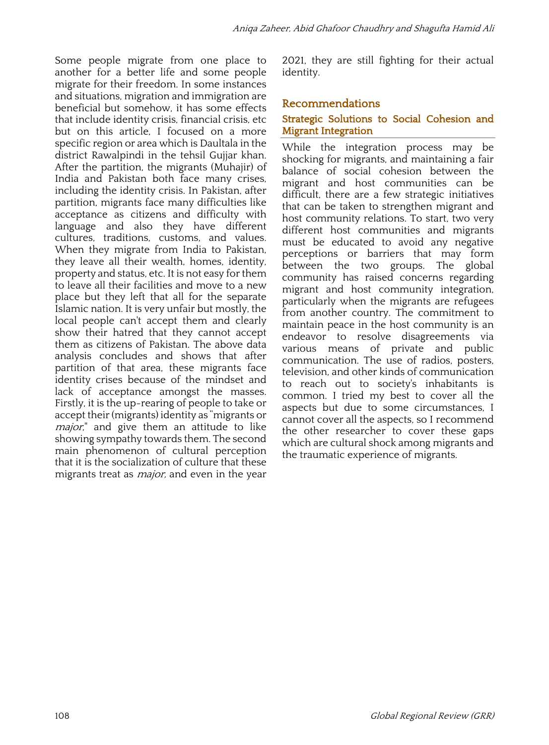Some people migrate from one place to another for a better life and some people migrate for their freedom. In some instances and situations, migration and immigration are beneficial but somehow, it has some effects that include identity crisis, financial crisis, etc but on this article, I focused on a more specific region or area which is Daultala in the district Rawalpindi in the tehsil Gujjar khan. After the partition, the migrants (Muhajir) of India and Pakistan both face many crises, including the identity crisis. In Pakistan, after partition, migrants face many difficulties like acceptance as citizens and difficulty with language and also they have different cultures, traditions, customs, and values. When they migrate from India to Pakistan, they leave all their wealth, homes, identity, property and status, etc. It is not easy for them to leave all their facilities and move to a new place but they left that all for the separate Islamic nation. It is very unfair but mostly, the local people can't accept them and clearly show their hatred that they cannot accept them as citizens of Pakistan. The above data analysis concludes and shows that after partition of that area, these migrants face identity crises because of the mindset and lack of acceptance amongst the masses. Firstly, it is the up-rearing of people to take or accept their (migrants) identity as "migrants or *major*," and give them an attitude to like showing sympathy towards them. The second main phenomenon of cultural perception that it is the socialization of culture that these migrants treat as *major*, and even in the year

2021, they are still fighting for their actual identity.

#### Recommendations

#### Strategic Solutions to Social Cohesion and Migrant Integration

While the integration process may be shocking for migrants, and maintaining a fair balance of social cohesion between the migrant and host communities can be difficult, there are a few strategic initiatives that can be taken to strengthen migrant and host community relations. To start, two very different host communities and migrants must be educated to avoid any negative perceptions or barriers that may form between the two groups. The global community has raised concerns regarding migrant and host community integration, particularly when the migrants are refugees from another country. The commitment to maintain peace in the host community is an endeavor to resolve disagreements via various means of private and public communication. The use of radios, posters, television, and other kinds of communication to reach out to society's inhabitants is common. I tried my best to cover all the aspects but due to some circumstances, I cannot cover all the aspects, so I recommend the other researcher to cover these gaps which are cultural shock among migrants and the traumatic experience of migrants.